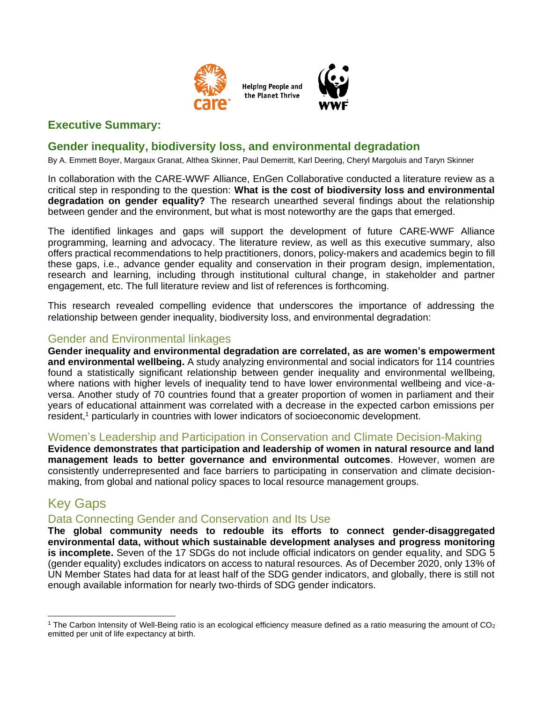

**Helping People and** the Planet Thrive



## **Gender inequality, biodiversity loss, and environmental degradation**

By A. Emmett Boyer, Margaux Granat, Althea Skinner, Paul Demerritt, Karl Deering, Cheryl Margoluis and Taryn Skinner

In collaboration with the CARE-WWF Alliance, EnGen Collaborative conducted a literature review as a critical step in responding to the question: **What is the cost of biodiversity loss and environmental degradation on gender equality?** The research unearthed several findings about the relationship between gender and the environment, but what is most noteworthy are the gaps that emerged.

The identified linkages and gaps will support the development of future CARE-WWF Alliance programming, learning and advocacy. The literature review, as well as this executive summary, also offers practical recommendations to help practitioners, donors, policy-makers and academics begin to fill these gaps, i.e., advance gender equality and conservation in their program design, implementation, research and learning, including through institutional cultural change, in stakeholder and partner engagement, etc. The full literature review and list of references is forthcoming.

This research revealed compelling evidence that underscores the importance of addressing the relationship between gender inequality, biodiversity loss, and environmental degradation:

#### Gender and Environmental linkages

**Gender inequality and environmental degradation are correlated, as are women's empowerment and environmental wellbeing.** A study analyzing environmental and social indicators for 114 countries found a statistically significant relationship between gender inequality and environmental wellbeing, where nations with higher levels of inequality tend to have lower environmental wellbeing and vice-aversa. Another study of 70 countries found that a greater proportion of women in parliament and their years of educational attainment was correlated with a decrease in the expected carbon emissions per resident, <sup>1</sup> particularly in countries with lower indicators of socioeconomic development.

#### Women's Leadership and Participation in Conservation and Climate Decision-Making

**Evidence demonstrates that participation and leadership of women in natural resource and land management leads to better governance and environmental outcomes**. However, women are consistently underrepresented and face barriers to participating in conservation and climate decisionmaking, from global and national policy spaces to local resource management groups.

# Key Gaps

#### Data Connecting Gender and Conservation and Its Use

**The global community needs to redouble its efforts to connect gender-disaggregated environmental data, without which sustainable development analyses and progress monitoring is incomplete.** Seven of the 17 SDGs do not include official indicators on gender equality, and SDG 5 (gender equality) excludes indicators on access to natural resources. As of December 2020, only 13% of UN Member States had data for at least half of the SDG gender indicators, and globally, there is still not enough available information for nearly two-thirds of SDG gender indicators.

<sup>&</sup>lt;sup>1</sup> The Carbon Intensity of Well-Being ratio is an ecological efficiency measure defined as a ratio measuring the amount of  $CO<sub>2</sub>$ emitted per unit of life expectancy at birth.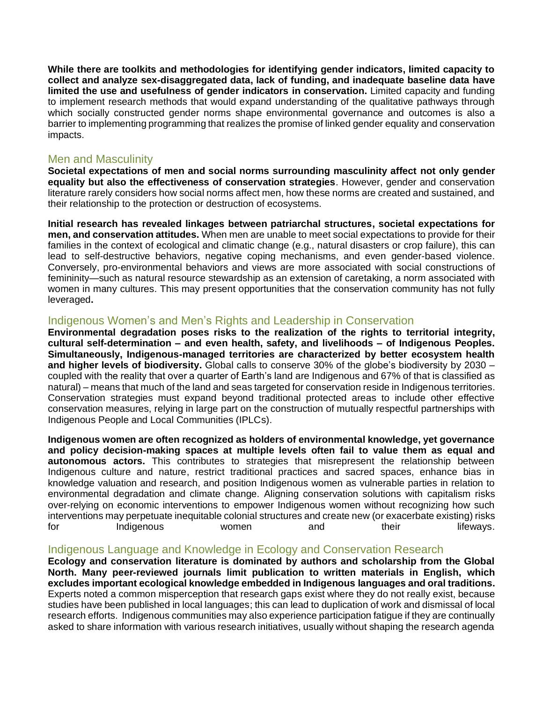**While there are toolkits and methodologies for identifying gender indicators, limited capacity to collect and analyze sex-disaggregated data, lack of funding, and inadequate baseline data have limited the use and usefulness of gender indicators in conservation.** Limited capacity and funding to implement research methods that would expand understanding of the qualitative pathways through which socially constructed gender norms shape environmental governance and outcomes is also a barrier to implementing programming that realizes the promise of linked gender equality and conservation impacts.

### Men and Masculinity

**Societal expectations of men and social norms surrounding masculinity affect not only gender equality but also the effectiveness of conservation strategies**. However, gender and conservation literature rarely considers how social norms affect men, how these norms are created and sustained, and their relationship to the protection or destruction of ecosystems.

**Initial research has revealed linkages between patriarchal structures, societal expectations for men, and conservation attitudes.** When men are unable to meet social expectations to provide for their families in the context of ecological and climatic change (e.g., natural disasters or crop failure), this can lead to self-destructive behaviors, negative coping mechanisms, and even gender-based violence. Conversely, pro-environmental behaviors and views are more associated with social constructions of femininity—such as natural resource stewardship as an extension of caretaking, a norm associated with women in many cultures. This may present opportunities that the conservation community has not fully leveraged**.**

### Indigenous Women's and Men's Rights and Leadership in Conservation

**Environmental degradation poses risks to the realization of the rights to territorial integrity, cultural self-determination – and even health, safety, and livelihoods – of Indigenous Peoples. Simultaneously, Indigenous-managed territories are characterized by better ecosystem health and higher levels of biodiversity.** Global calls to conserve 30% of the globe's biodiversity by 2030 – coupled with the reality that over a quarter of Earth's land are Indigenous and 67% of that is classified as natural) – means that much of the land and seas targeted for conservation reside in Indigenous territories. Conservation strategies must expand beyond traditional protected areas to include other effective conservation measures, relying in large part on the construction of mutually respectful partnerships with Indigenous People and Local Communities (IPLCs).

**Indigenous women are often recognized as holders of environmental knowledge, yet governance and policy decision-making spaces at multiple levels often fail to value them as equal and autonomous actors.** This contributes to strategies that misrepresent the relationship between Indigenous culture and nature, restrict traditional practices and sacred spaces, enhance bias in knowledge valuation and research, and position Indigenous women as vulnerable parties in relation to environmental degradation and climate change. Aligning conservation solutions with capitalism risks over-relying on economic interventions to empower Indigenous women without recognizing how such interventions may perpetuate inequitable colonial structures and create new (or exacerbate existing) risks for and Indigenous women and their lifeways.

## Indigenous Language and Knowledge in Ecology and Conservation Research

**Ecology and conservation literature is dominated by authors and scholarship from the Global North. Many peer-reviewed journals limit publication to written materials in English, which excludes important ecological knowledge embedded in Indigenous languages and oral traditions.**  Experts noted a common misperception that research gaps exist where they do not really exist, because studies have been published in local languages; this can lead to duplication of work and dismissal of local research efforts. Indigenous communities may also experience participation fatigue if they are continually asked to share information with various research initiatives, usually without shaping the research agenda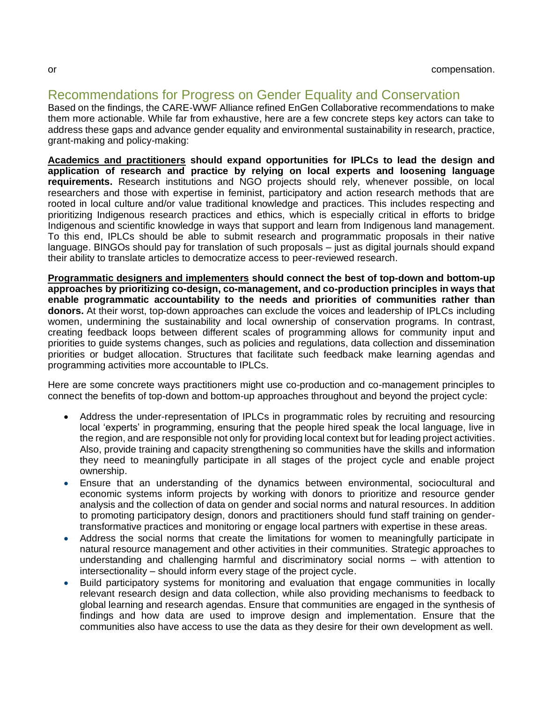# Recommendations for Progress on Gender Equality and Conservation

Based on the findings, the CARE-WWF Alliance refined EnGen Collaborative recommendations to make them more actionable. While far from exhaustive, here are a few concrete steps key actors can take to address these gaps and advance gender equality and environmental sustainability in research, practice, grant-making and policy-making:

**Academics and practitioners should expand opportunities for IPLCs to lead the design and application of research and practice by relying on local experts and loosening language requirements.** Research institutions and NGO projects should rely, whenever possible, on local researchers and those with expertise in feminist, participatory and action research methods that are rooted in local culture and/or value traditional knowledge and practices. This includes respecting and prioritizing Indigenous research practices and ethics, which is especially critical in efforts to bridge Indigenous and scientific knowledge in ways that support and learn from Indigenous land management. To this end, IPLCs should be able to submit research and programmatic proposals in their native language. BINGOs should pay for translation of such proposals – just as digital journals should expand their ability to translate articles to democratize access to peer-reviewed research.

**Programmatic designers and implementers should connect the best of top-down and bottom-up approaches by prioritizing co-design, co-management, and co-production principles in ways that enable programmatic accountability to the needs and priorities of communities rather than donors.** At their worst, top-down approaches can exclude the voices and leadership of IPLCs including women, undermining the sustainability and local ownership of conservation programs. In contrast, creating feedback loops between different scales of programming allows for community input and priorities to guide systems changes, such as policies and regulations, data collection and dissemination priorities or budget allocation. Structures that facilitate such feedback make learning agendas and programming activities more accountable to IPLCs.

Here are some concrete ways practitioners might use co-production and co-management principles to connect the benefits of top-down and bottom-up approaches throughout and beyond the project cycle:

- Address the under-representation of IPLCs in programmatic roles by recruiting and resourcing local 'experts' in programming, ensuring that the people hired speak the local language, live in the region, and are responsible not only for providing local context but for leading project activities. Also, provide training and capacity strengthening so communities have the skills and information they need to meaningfully participate in all stages of the project cycle and enable project ownership.
- Ensure that an understanding of the dynamics between environmental, sociocultural and economic systems inform projects by working with donors to prioritize and resource gender analysis and the collection of data on gender and social norms and natural resources. In addition to promoting participatory design, donors and practitioners should fund staff training on gendertransformative practices and monitoring or engage local partners with expertise in these areas.
- Address the social norms that create the limitations for women to meaningfully participate in natural resource management and other activities in their communities. Strategic approaches to understanding and challenging harmful and discriminatory social norms – with attention to intersectionality – should inform every stage of the project cycle.
- Build participatory systems for monitoring and evaluation that engage communities in locally relevant research design and data collection, while also providing mechanisms to feedback to global learning and research agendas. Ensure that communities are engaged in the synthesis of findings and how data are used to improve design and implementation. Ensure that the communities also have access to use the data as they desire for their own development as well.